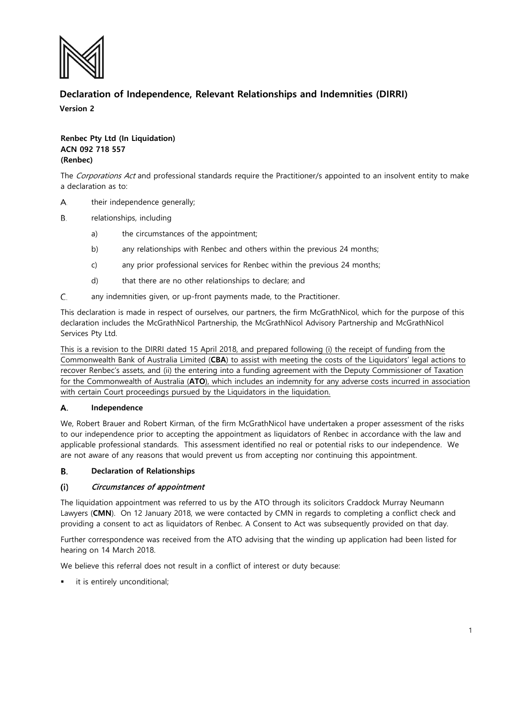

# **Declaration of Independence, Relevant Relationships and Indemnities (DIRRI)**

**Version 2**

# **Renbec Pty Ltd (In Liquidation) ACN 092 718 557 (Renbec)**

The Corporations Act and professional standards require the Practitioner/s appointed to an insolvent entity to make a declaration as to:

- A. their independence generally;
- Β. relationships, including
	- a) the circumstances of the appointment;
	- b) any relationships with Renbec and others within the previous 24 months;
	- c) any prior professional services for Renbec within the previous 24 months;
	- d) that there are no other relationships to declare; and
- C. any indemnities given, or up-front payments made, to the Practitioner.

This declaration is made in respect of ourselves, our partners, the firm McGrathNicol, which for the purpose of this declaration includes the McGrathNicol Partnership, the McGrathNicol Advisory Partnership and McGrathNicol Services Pty Ltd.

This is a revision to the DIRRI dated 15 April 2018, and prepared following (i) the receipt of funding from the Commonwealth Bank of Australia Limited (**CBA**) to assist with meeting the costs of the Liquidators' legal actions to recover Renbec's assets, and (ii) the entering into a funding agreement with the Deputy Commissioner of Taxation for the Commonwealth of Australia (**ATO**), which includes an indemnity for any adverse costs incurred in association with certain Court proceedings pursued by the Liquidators in the liquidation.

#### Α. **Independence**

We, Robert Brauer and Robert Kirman, of the firm McGrathNicol have undertaken a proper assessment of the risks to our independence prior to accepting the appointment as liquidators of Renbec in accordance with the law and applicable professional standards. This assessment identified no real or potential risks to our independence. We are not aware of any reasons that would prevent us from accepting nor continuing this appointment.

#### **Declaration of Relationships** В.

### Circumstances of appointment  $(i)$

The liquidation appointment was referred to us by the ATO through its solicitors Craddock Murray Neumann Lawyers (**CMN**). On 12 January 2018, we were contacted by CMN in regards to completing a conflict check and providing a consent to act as liquidators of Renbec. A Consent to Act was subsequently provided on that day.

Further correspondence was received from the ATO advising that the winding up application had been listed for hearing on 14 March 2018.

We believe this referral does not result in a conflict of interest or duty because:

it is entirely unconditional;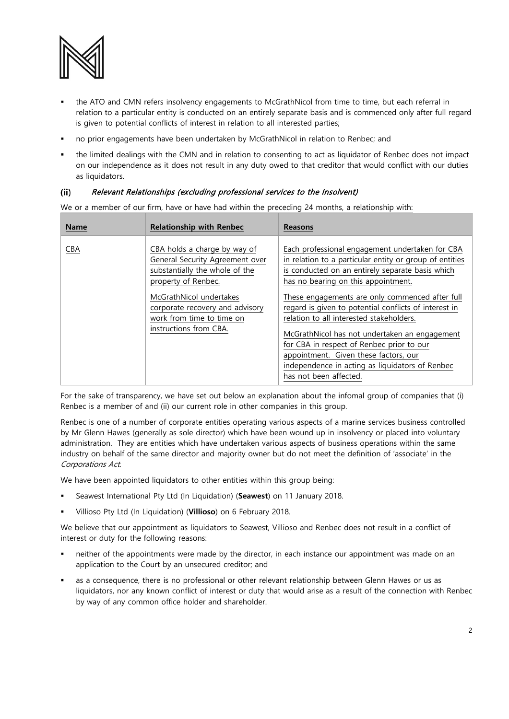

- the ATO and CMN refers insolvency engagements to McGrathNicol from time to time, but each referral in relation to a particular entity is conducted on an entirely separate basis and is commenced only after full regard is given to potential conflicts of interest in relation to all interested parties;
- no prior engagements have been undertaken by McGrathNicol in relation to Renbec; and
- the limited dealings with the CMN and in relation to consenting to act as liquidator of Renbec does not impact on our independence as it does not result in any duty owed to that creditor that would conflict with our duties as liquidators.

### Relevant Relationships (excluding professional services to the Insolvent)  $(ii)$

We or a member of our firm, have or have had within the preceding 24 months, a relationship with:

| <b>Name</b> | <b>Relationship with Renbec</b>                                                                                                                                                                                                               | <b>Reasons</b>                                                                                                                                                                                                                                                                                                                                                                                                                                                                                                                                                                    |
|-------------|-----------------------------------------------------------------------------------------------------------------------------------------------------------------------------------------------------------------------------------------------|-----------------------------------------------------------------------------------------------------------------------------------------------------------------------------------------------------------------------------------------------------------------------------------------------------------------------------------------------------------------------------------------------------------------------------------------------------------------------------------------------------------------------------------------------------------------------------------|
| <b>CBA</b>  | CBA holds a charge by way of<br>General Security Agreement over<br>substantially the whole of the<br>property of Renbec.<br>McGrathNicol undertakes<br>corporate recovery and advisory<br>work from time to time on<br>instructions from CBA. | Each professional engagement undertaken for CBA<br>in relation to a particular entity or group of entities<br>is conducted on an entirely separate basis which<br>has no bearing on this appointment.<br>These engagements are only commenced after full<br>regard is given to potential conflicts of interest in<br>relation to all interested stakeholders.<br>McGrathNicol has not undertaken an engagement<br>for CBA in respect of Renbec prior to our<br>appointment. Given these factors, our<br>independence in acting as liquidators of Renbec<br>has not been affected. |

For the sake of transparency, we have set out below an explanation about the infomal group of companies that (i) Renbec is a member of and (ii) our current role in other companies in this group.

Renbec is one of a number of corporate entities operating various aspects of a marine services business controlled by Mr Glenn Hawes (generally as sole director) which have been wound up in insolvency or placed into voluntary administration. They are entities which have undertaken various aspects of business operations within the same industry on behalf of the same director and majority owner but do not meet the definition of 'associate' in the Corporations Act.

We have been appointed liquidators to other entities within this group being:

- Seawest International Pty Ltd (In Liquidation) (**Seawest**) on 11 January 2018.
- Villioso Pty Ltd (In Liquidation) (**Villioso**) on 6 February 2018.

We believe that our appointment as liquidators to Seawest, Villioso and Renbec does not result in a conflict of interest or duty for the following reasons:

- neither of the appointments were made by the director, in each instance our appointment was made on an application to the Court by an unsecured creditor; and
- as a consequence, there is no professional or other relevant relationship between Glenn Hawes or us as liquidators, nor any known conflict of interest or duty that would arise as a result of the connection with Renbec by way of any common office holder and shareholder.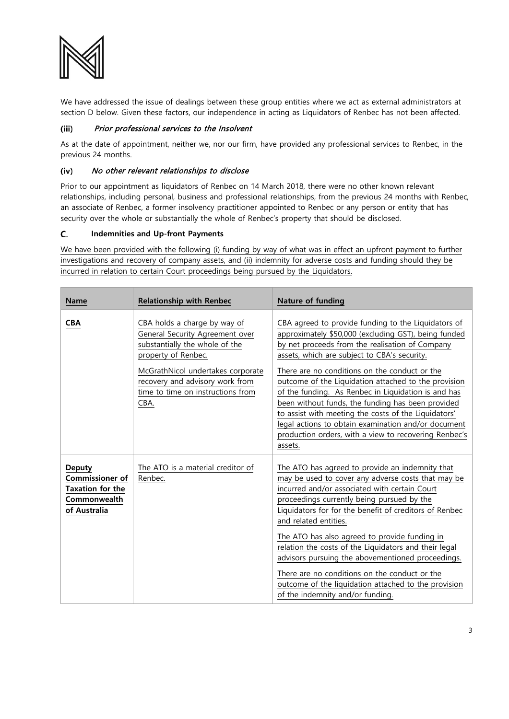

We have addressed the issue of dealings between these group entities where we act as external administrators at section D below. Given these factors, our independence in acting as Liquidators of Renbec has not been affected.

# Prior professional services to the Insolvent  $(iii)$

As at the date of appointment, neither we, nor our firm, have provided any professional services to Renbec, in the previous 24 months.

## (iv) No other relevant relationships to disclose

Prior to our appointment as liquidators of Renbec on 14 March 2018, there were no other known relevant relationships, including personal, business and professional relationships, from the previous 24 months with Renbec, an associate of Renbec, a former insolvency practitioner appointed to Renbec or any person or entity that has security over the whole or substantially the whole of Renbec's property that should be disclosed.

### C. **Indemnities and Up-front Payments**

We have been provided with the following (i) funding by way of what was in effect an upfront payment to further investigations and recovery of company assets, and (ii) indemnity for adverse costs and funding should they be incurred in relation to certain Court proceedings being pursued by the Liquidators.

| <b>Name</b>                                                                                 | <b>Relationship with Renbec</b>                                                                                                                                                                                                               | Nature of funding                                                                                                                                                                                                                                                                                                                                                                                                                                                                                                                                                                                              |
|---------------------------------------------------------------------------------------------|-----------------------------------------------------------------------------------------------------------------------------------------------------------------------------------------------------------------------------------------------|----------------------------------------------------------------------------------------------------------------------------------------------------------------------------------------------------------------------------------------------------------------------------------------------------------------------------------------------------------------------------------------------------------------------------------------------------------------------------------------------------------------------------------------------------------------------------------------------------------------|
| <b>CBA</b>                                                                                  | CBA holds a charge by way of<br>General Security Agreement over<br>substantially the whole of the<br>property of Renbec.<br>McGrathNicol undertakes corporate<br>recovery and advisory work from<br>time to time on instructions from<br>CBA. | CBA agreed to provide funding to the Liquidators of<br>approximately \$50,000 (excluding GST), being funded<br>by net proceeds from the realisation of Company<br>assets, which are subject to CBA's security.<br>There are no conditions on the conduct or the<br>outcome of the Liquidation attached to the provision<br>of the funding. As Renbec in Liquidation is and has<br>been without funds, the funding has been provided<br>to assist with meeting the costs of the Liquidators'<br>legal actions to obtain examination and/or document<br>production orders, with a view to recovering Renbec's    |
| <b>Deputy</b><br><b>Commissioner of</b><br>Taxation for the<br>Commonwealth<br>of Australia | The ATO is a material creditor of<br>Renbec.                                                                                                                                                                                                  | assets.<br>The ATO has agreed to provide an indemnity that<br>may be used to cover any adverse costs that may be<br>incurred and/or associated with certain Court<br>proceedings currently being pursued by the<br>Liquidators for for the benefit of creditors of Renbec<br>and related entities.<br>The ATO has also agreed to provide funding in<br>relation the costs of the Liquidators and their legal<br>advisors pursuing the abovementioned proceedings.<br>There are no conditions on the conduct or the<br>outcome of the liquidation attached to the provision<br>of the indemnity and/or funding. |